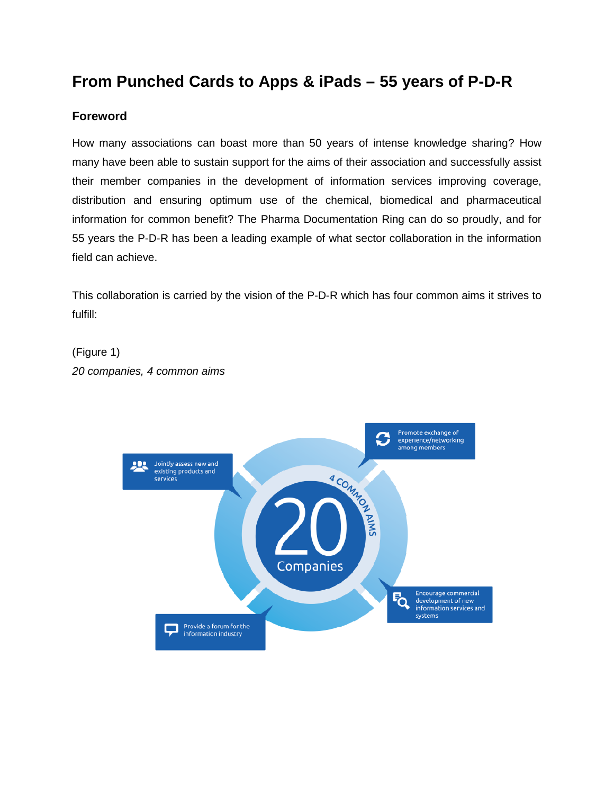# **From Punched Cards to Apps & iPads – 55 years of P-D-R**

# **Foreword**

How many associations can boast more than 50 years of intense knowledge sharing? How many have been able to sustain support for the aims of their association and successfully assist their member companies in the development of information services improving coverage, distribution and ensuring optimum use of the chemical, biomedical and pharmaceutical information for common benefit? The Pharma Documentation Ring can do so proudly, and for 55 years the P-D-R has been a leading example of what sector collaboration in the information field can achieve.

This collaboration is carried by the vision of the P-D-R which has four common aims it strives to fulfill:

(Figure 1) *20 companies, 4 common aims*

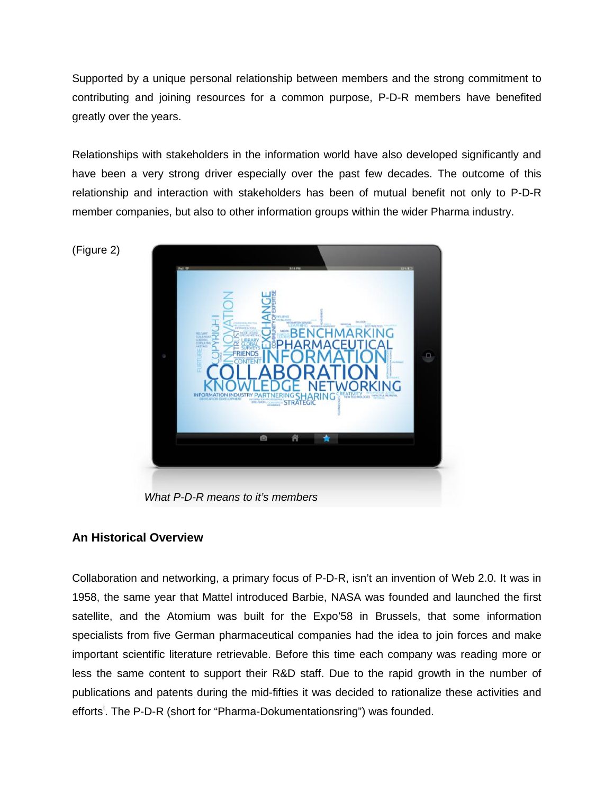Supported by a unique personal relationship between members and the strong commitment to contributing and joining resources for a common purpose, P-D-R members have benefited greatly over the years.

Relationships with stakeholders in the information world have also developed significantly and have been a very strong driver especially over the past few decades. The outcome of this relationship and interaction with stakeholders has been of mutual benefit not only to P-D-R member companies, but also to other information groups within the wider Pharma industry.



*What P-D-R means to it's members*

## **An Historical Overview**

Collaboration and networking, a primary focus of P-D-R, isn't an invention of Web 2.0. It was in 1958, the same year that Mattel introduced Barbie, NASA was founded and launched the first satellite, and the Atomium was built for the Expo'58 in Brussels, that some information specialists from five German pharmaceutical companies had the idea to join forces and make important scientific literature retrievable. Before this time each company was reading more or less the same content to support their R&D staff. Due to the rapid growth in the number of publications and patents during the mid-fifties it was decided to rationalize these activities and efforts<sup>[i](#page-9-0)</sup>. The P-D-R (short for "Pharma-Dokumentationsring") was founded.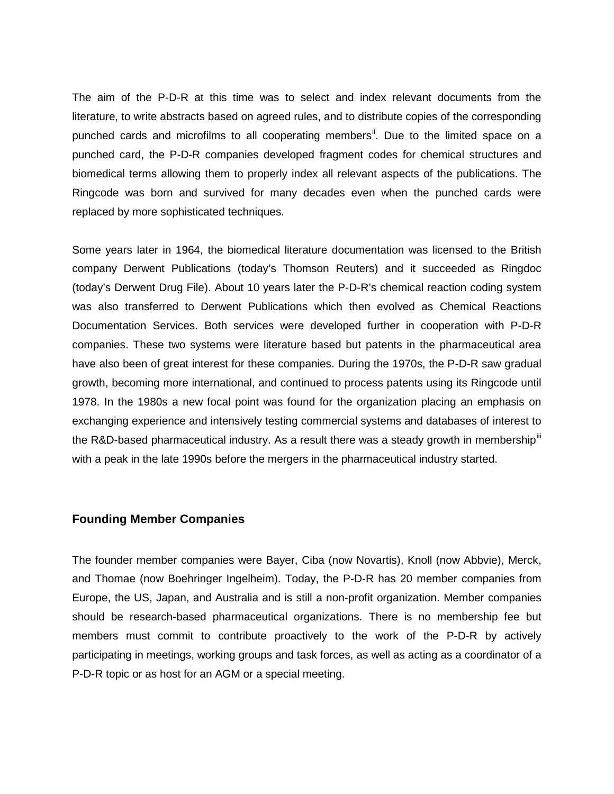The aim of the P-D-R at this time was to select and index relevant documents from the literature, to write abstracts based on agreed rules, and to distribute copies of the corresponding punched cards and microfilms to all cooperating members<sup>it</sup>. Due to the limited space on a punched card, the P-D-R companies developed fragment codes for chemical structures and biomedical terms allowing them to properly index all relevant aspects of the publications. The Ringcode was born and survived for many decades even when the punched cards were replaced by more sophisticated techniques.

Some years later in 1964, the biomedical literature documentation was licensed to the British company Derwent Publications (today's Thomson Reuters) and it succeeded as Ringdoc (today's Derwent Drug File). About 10 years later the P-D-R's chemical reaction coding system was also transferred to Derwent Publications which then evolved as Chemical Reactions Documentation Services. Both services were developed further in cooperation with P-D-R companies. These two systems were literature based but patents in the pharmaceutical area have also been of great interest for these companies. During the 1970s, the P-D-R saw gradual growth, becoming more international, and continued to process patents using its Ringcode until 1978. In the 1980s a new focal point was found for the organization placing an emphasis on exchanging experience and intensively testing commercial systems and databases of interest to the R&D-based pharmaceutical industry. As a result there was a steady growth in membership $^{\text{III}}$ with a peak in the late 1990s before the mergers in the pharmaceutical industry started.

## **Founding Member Companies**

The founder member companies were Bayer, Ciba (now Novartis), Knoll (now Abbvie), Merck, and Thomae (now Boehringer Ingelheim). Today, the P-D-R has 20 member companies from Europe, the US, Japan, and Australia and is still a non-profit organization. Member companies should be research-based pharmaceutical organizations. There is no membership fee but members must commit to contribute proactively to the work of the P-D-R by actively participating in meetings, working groups and task forces, as well as acting as a coordinator of a P-D-R topic or as host for an AGM or a special meeting.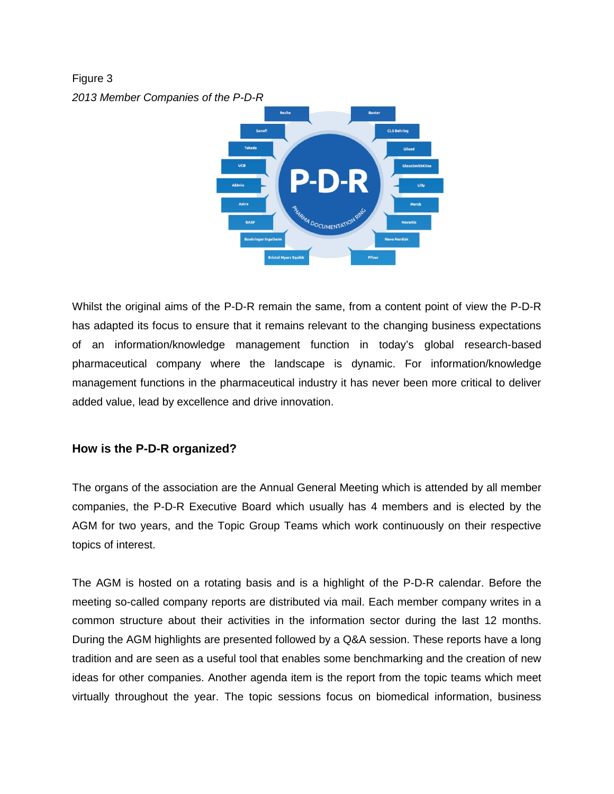Figure 3 *2013 Member Companies of the P-D-R*



Whilst the original aims of the P-D-R remain the same, from a content point of view the P-D-R has adapted its focus to ensure that it remains relevant to the changing business expectations of an information/knowledge management function in today's global research-based pharmaceutical company where the landscape is dynamic. For information/knowledge management functions in the pharmaceutical industry it has never been more critical to deliver added value, lead by excellence and drive innovation.

## **How is the P-D-R organized?**

The organs of the association are the Annual General Meeting which is attended by all member companies, the P-D-R Executive Board which usually has 4 members and is elected by the AGM for two years, and the Topic Group Teams which work continuously on their respective topics of interest.

The AGM is hosted on a rotating basis and is a highlight of the P-D-R calendar. Before the meeting so-called company reports are distributed via mail. Each member company writes in a common structure about their activities in the information sector during the last 12 months. During the AGM highlights are presented followed by a Q&A session. These reports have a long tradition and are seen as a useful tool that enables some benchmarking and the creation of new ideas for other companies. Another agenda item is the report from the topic teams which meet virtually throughout the year. The topic sessions focus on biomedical information, business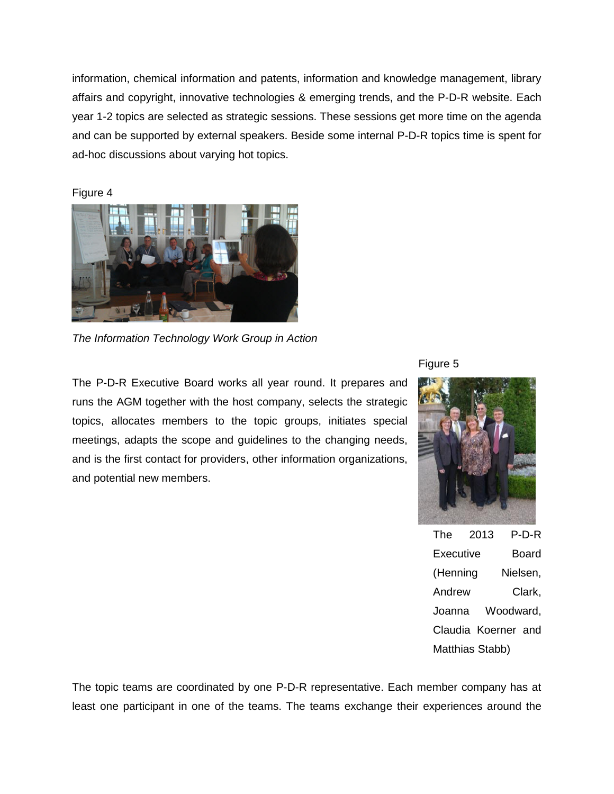information, chemical information and patents, information and knowledge management, library affairs and copyright, innovative technologies & emerging trends, and the P-D-R website. Each year 1-2 topics are selected as strategic sessions. These sessions get more time on the agenda and can be supported by external speakers. Beside some internal P-D-R topics time is spent for ad-hoc discussions about varying hot topics.

Figure 4



*The Information Technology Work Group in Action*

The P-D-R Executive Board works all year round. It prepares and runs the AGM together with the host company, selects the strategic topics, allocates members to the topic groups, initiates special meetings, adapts the scope and guidelines to the changing needs, and is the first contact for providers, other information organizations, and potential new members.

Figure 5



The 2013 P-D-R Executive Board (Henning Nielsen, Andrew Clark, Joanna Woodward, Claudia Koerner and Matthias Stabb)

The topic teams are coordinated by one P-D-R representative. Each member company has at least one participant in one of the teams. The teams exchange their experiences around the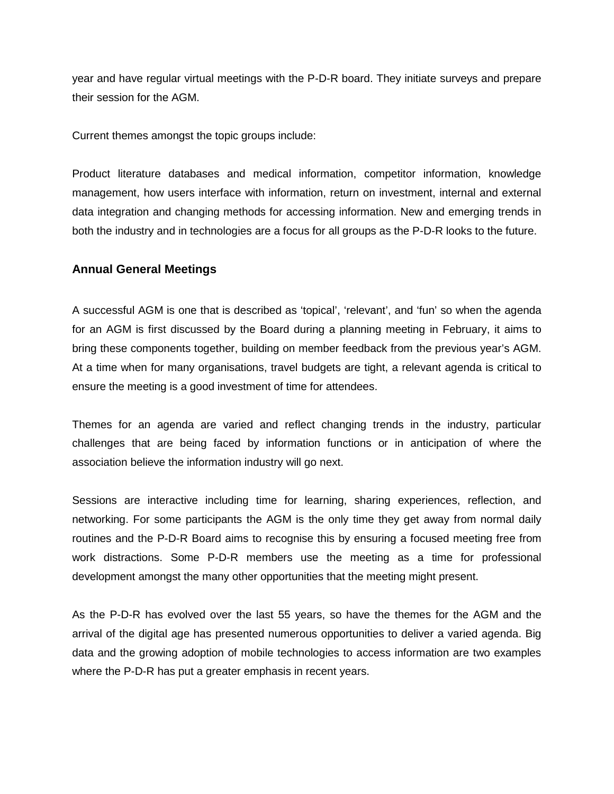year and have regular virtual meetings with the P-D-R board. They initiate surveys and prepare their session for the AGM.

Current themes amongst the topic groups include:

Product literature databases and medical information, competitor information, knowledge management, how users interface with information, return on investment, internal and external data integration and changing methods for accessing information. New and emerging trends in both the industry and in technologies are a focus for all groups as the P-D-R looks to the future.

## **Annual General Meetings**

A successful AGM is one that is described as 'topical', 'relevant', and 'fun' so when the agenda for an AGM is first discussed by the Board during a planning meeting in February, it aims to bring these components together, building on member feedback from the previous year's AGM. At a time when for many organisations, travel budgets are tight, a relevant agenda is critical to ensure the meeting is a good investment of time for attendees.

Themes for an agenda are varied and reflect changing trends in the industry, particular challenges that are being faced by information functions or in anticipation of where the association believe the information industry will go next.

Sessions are interactive including time for learning, sharing experiences, reflection, and networking. For some participants the AGM is the only time they get away from normal daily routines and the P-D-R Board aims to recognise this by ensuring a focused meeting free from work distractions. Some P-D-R members use the meeting as a time for professional development amongst the many other opportunities that the meeting might present.

As the P-D-R has evolved over the last 55 years, so have the themes for the AGM and the arrival of the digital age has presented numerous opportunities to deliver a varied agenda. Big data and the growing adoption of mobile technologies to access information are two examples where the P-D-R has put a greater emphasis in recent years.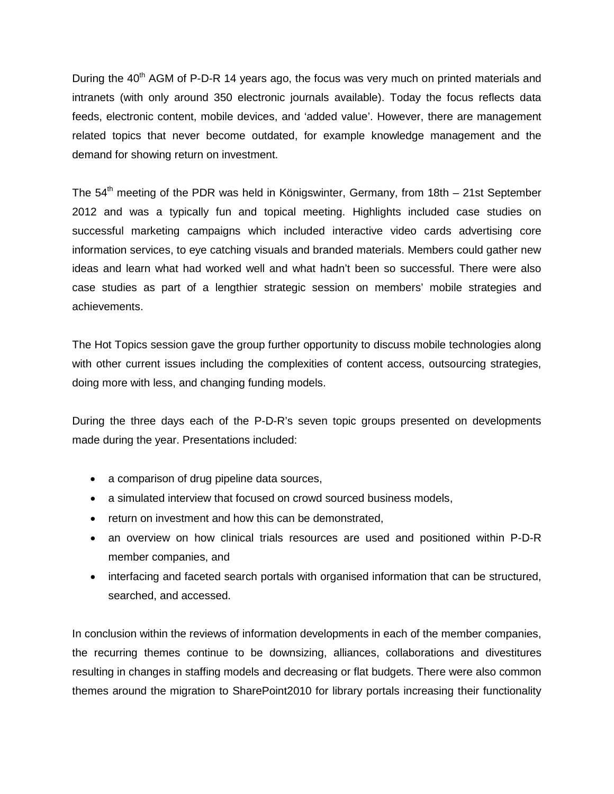During the 40<sup>th</sup> AGM of P-D-R 14 years ago, the focus was very much on printed materials and intranets (with only around 350 electronic journals available). Today the focus reflects data feeds, electronic content, mobile devices, and 'added value'. However, there are management related topics that never become outdated, for example knowledge management and the demand for showing return on investment.

The  $54<sup>th</sup>$  meeting of the PDR was held in Königswinter, Germany, from 18th – 21st September 2012 and was a typically fun and topical meeting. Highlights included case studies on successful marketing campaigns which included interactive video cards advertising core information services, to eye catching visuals and branded materials. Members could gather new ideas and learn what had worked well and what hadn't been so successful. There were also case studies as part of a lengthier strategic session on members' mobile strategies and achievements.

The Hot Topics session gave the group further opportunity to discuss mobile technologies along with other current issues including the complexities of content access, outsourcing strategies, doing more with less, and changing funding models.

During the three days each of the P-D-R's seven topic groups presented on developments made during the year. Presentations included:

- a comparison of drug pipeline data sources,
- a simulated interview that focused on crowd sourced business models,
- return on investment and how this can be demonstrated,
- an overview on how clinical trials resources are used and positioned within P-D-R member companies, and
- interfacing and faceted search portals with organised information that can be structured, searched, and accessed.

In conclusion within the reviews of information developments in each of the member companies, the recurring themes continue to be downsizing, alliances, collaborations and divestitures resulting in changes in staffing models and decreasing or flat budgets. There were also common themes around the migration to SharePoint2010 for library portals increasing their functionality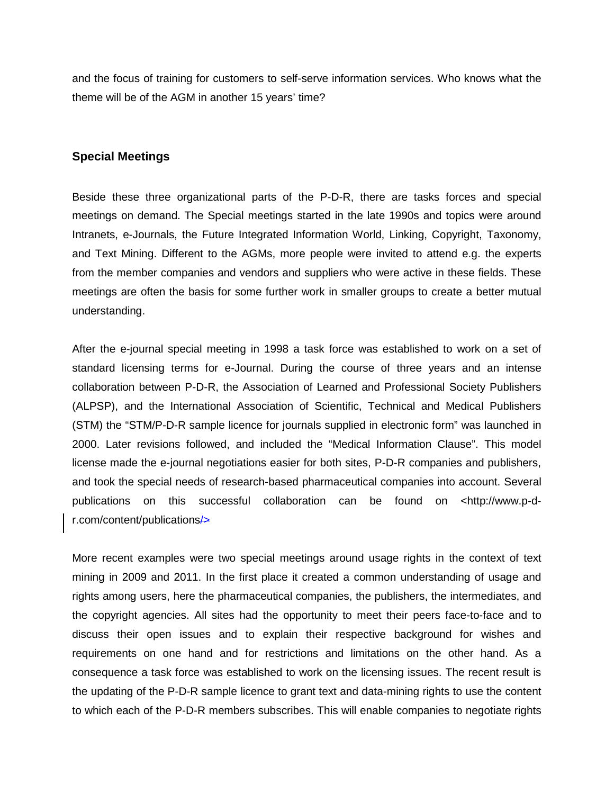and the focus of training for customers to self-serve information services. Who knows what the theme will be of the AGM in another 15 years' time?

#### **Special Meetings**

Beside these three organizational parts of the P-D-R, there are tasks forces and special meetings on demand. The Special meetings started in the late 1990s and topics were around Intranets, e-Journals, the Future Integrated Information World, Linking, Copyright, Taxonomy, and Text Mining. Different to the AGMs, more people were invited to attend e.g. the experts from the member companies and vendors and suppliers who were active in these fields. These meetings are often the basis for some further work in smaller groups to create a better mutual understanding.

After the e-journal special meeting in 1998 a task force was established to work on a set of standard licensing terms for e-Journal. During the course of three years and an intense collaboration between P-D-R, the Association of Learned and Professional Society Publishers (ALPSP), and the International Association of Scientific, Technical and Medical Publishers (STM) the "STM/P-D-R sample licence for journals supplied in electronic form" was launched in 2000. Later revisions followed, and included the "Medical Information Clause". This model license made the e-journal negotiations easier for both sites, P-D-R companies and publishers, and took the special needs of research-based pharmaceutical companies into account. Several publications on this successful collaboration can be found on <http://www.p-dr.com/content/publications/>

More recent examples were two special meetings around usage rights in the context of text mining in 2009 and 2011. In the first place it created a common understanding of usage and rights among users, here the pharmaceutical companies, the publishers, the intermediates, and the copyright agencies. All sites had the opportunity to meet their peers face-to-face and to discuss their open issues and to explain their respective background for wishes and requirements on one hand and for restrictions and limitations on the other hand. As a consequence a task force was established to work on the licensing issues. The recent result is the updating of the P-D-R sample licence to grant text and data-mining rights to use the content to which each of the P-D-R members subscribes. This will enable companies to negotiate rights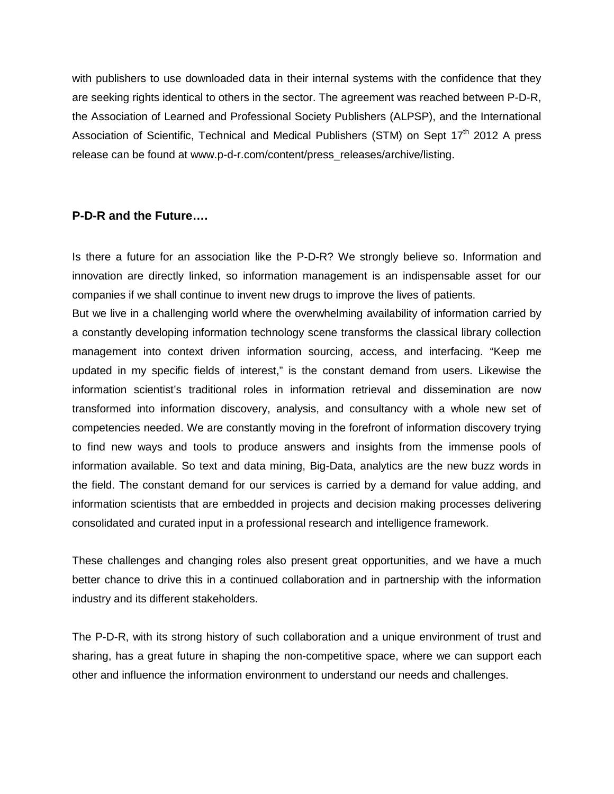with publishers to use downloaded data in their internal systems with the confidence that they are seeking rights identical to others in the sector. The agreement was reached between P-D-R, the Association of Learned and Professional Society Publishers (ALPSP), and the International Association of Scientific, Technical and Medical Publishers (STM) on Sept 17<sup>th</sup> 2012 A press release can be found at www.p-d-r.com/content/press\_releases/archive/listing.

## **P-D-R and the Future….**

Is there a future for an association like the P-D-R? We strongly believe so. Information and innovation are directly linked, so information management is an indispensable asset for our companies if we shall continue to invent new drugs to improve the lives of patients.

But we live in a challenging world where the overwhelming availability of information carried by a constantly developing information technology scene transforms the classical library collection management into context driven information sourcing, access, and interfacing. "Keep me updated in my specific fields of interest," is the constant demand from users. Likewise the information scientist's traditional roles in information retrieval and dissemination are now transformed into information discovery, analysis, and consultancy with a whole new set of competencies needed. We are constantly moving in the forefront of information discovery trying to find new ways and tools to produce answers and insights from the immense pools of information available. So text and data mining, Big-Data, analytics are the new buzz words in the field. The constant demand for our services is carried by a demand for value adding, and information scientists that are embedded in projects and decision making processes delivering consolidated and curated input in a professional research and intelligence framework.

These challenges and changing roles also present great opportunities, and we have a much better chance to drive this in a continued collaboration and in partnership with the information industry and its different stakeholders.

The P-D-R, with its strong history of such collaboration and a unique environment of trust and sharing, has a great future in shaping the non-competitive space, where we can support each other and influence the information environment to understand our needs and challenges.